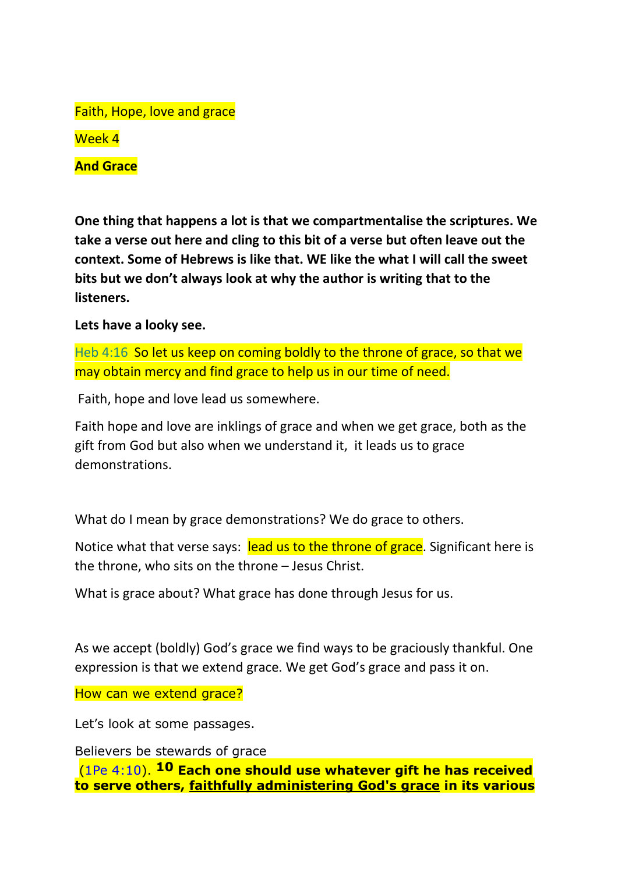Faith, Hope, love and grace

Week 4

**And Grace**

**One thing that happens a lot is that we compartmentalise the scriptures. We take a verse out here and cling to this bit of a verse but often leave out the context. Some of Hebrews is like that. WE like the what I will call the sweet bits but we don't always look at why the author is writing that to the listeners.** 

**Lets have a looky see.** 

Heb 4:16 So let us keep on coming boldly to the throne of grace, so that we may obtain mercy and find grace to help us in our time of need.

Faith, hope and love lead us somewhere.

Faith hope and love are inklings of grace and when we get grace, both as the gift from God but also when we understand it, it leads us to grace demonstrations.

What do I mean by grace demonstrations? We do grace to others.

Notice what that verse says: lead us to the throne of grace. Significant here is the throne, who sits on the throne – Jesus Christ.

What is grace about? What grace has done through Jesus for us.

As we accept (boldly) God's grace we find ways to be graciously thankful. One expression is that we extend grace. We get God's grace and pass it on.

How can we extend grace?

Let's look at some passages.

Believers be stewards of grace

(1Pe 4:10). **10 Each one should use whatever gift he has received to serve others, faithfully administering God's grace in its various**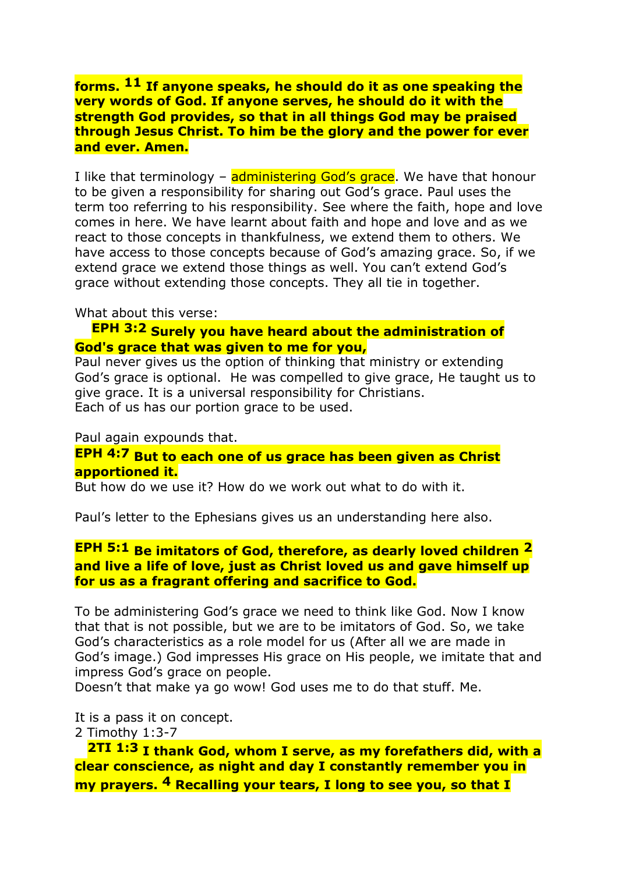**forms. 11 If anyone speaks, he should do it as one speaking the very words of God. If anyone serves, he should do it with the strength God provides, so that in all things God may be praised through Jesus Christ. To him be the glory and the power for ever and ever. Amen.**

I like that terminology – administering God's grace. We have that honour to be given a responsibility for sharing out God's grace. Paul uses the term too referring to his responsibility. See where the faith, hope and love comes in here. We have learnt about faith and hope and love and as we react to those concepts in thankfulness, we extend them to others. We have access to those concepts because of God's amazing grace. So, if we extend grace we extend those things as well. You can't extend God's grace without extending those concepts. They all tie in together.

What about this verse:

## **EPH 3:2 Surely you have heard about the administration of God's grace that was given to me for you,**

Paul never gives us the option of thinking that ministry or extending God's grace is optional. He was compelled to give grace, He taught us to give grace. It is a universal responsibility for Christians. Each of us has our portion grace to be used.

Paul again expounds that.

## **EPH 4:7 But to each one of us grace has been given as Christ apportioned it.**

But how do we use it? How do we work out what to do with it.

Paul's letter to the Ephesians gives us an understanding here also.

## **EPH 5:1 Be imitators of God, therefore, as dearly loved children 2 and live a life of love, just as Christ loved us and gave himself up for us as a fragrant offering and sacrifice to God.**

To be administering God's grace we need to think like God. Now I know that that is not possible, but we are to be imitators of God. So, we take God's characteristics as a role model for us (After all we are made in God's image.) God impresses His grace on His people, we imitate that and impress God's grace on people.

Doesn't that make ya go wow! God uses me to do that stuff. Me.

It is a pass it on concept.

2 Timothy 1:3-7

 **2TI 1:3 I thank God, whom I serve, as my forefathers did, with a clear conscience, as night and day I constantly remember you in my prayers. 4 Recalling your tears, I long to see you, so that I**